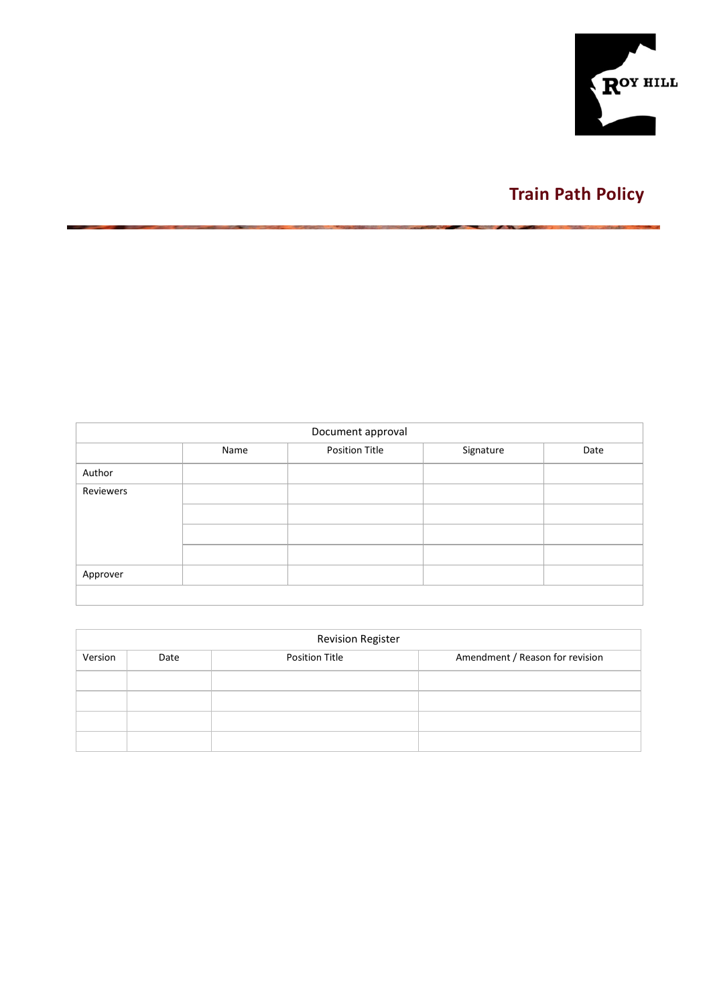

# **Train Path Policy**

|           | Document approval |                |           |      |  |  |  |  |  |  |
|-----------|-------------------|----------------|-----------|------|--|--|--|--|--|--|
|           | Name              | Position Title | Signature | Date |  |  |  |  |  |  |
| Author    |                   |                |           |      |  |  |  |  |  |  |
| Reviewers |                   |                |           |      |  |  |  |  |  |  |
|           |                   |                |           |      |  |  |  |  |  |  |
|           |                   |                |           |      |  |  |  |  |  |  |
|           |                   |                |           |      |  |  |  |  |  |  |
| Approver  |                   |                |           |      |  |  |  |  |  |  |
|           |                   |                |           |      |  |  |  |  |  |  |

|         | <b>Revision Register</b> |                       |                                 |  |  |  |  |  |  |  |
|---------|--------------------------|-----------------------|---------------------------------|--|--|--|--|--|--|--|
| Version | Date                     | <b>Position Title</b> | Amendment / Reason for revision |  |  |  |  |  |  |  |
|         |                          |                       |                                 |  |  |  |  |  |  |  |
|         |                          |                       |                                 |  |  |  |  |  |  |  |
|         |                          |                       |                                 |  |  |  |  |  |  |  |
|         |                          |                       |                                 |  |  |  |  |  |  |  |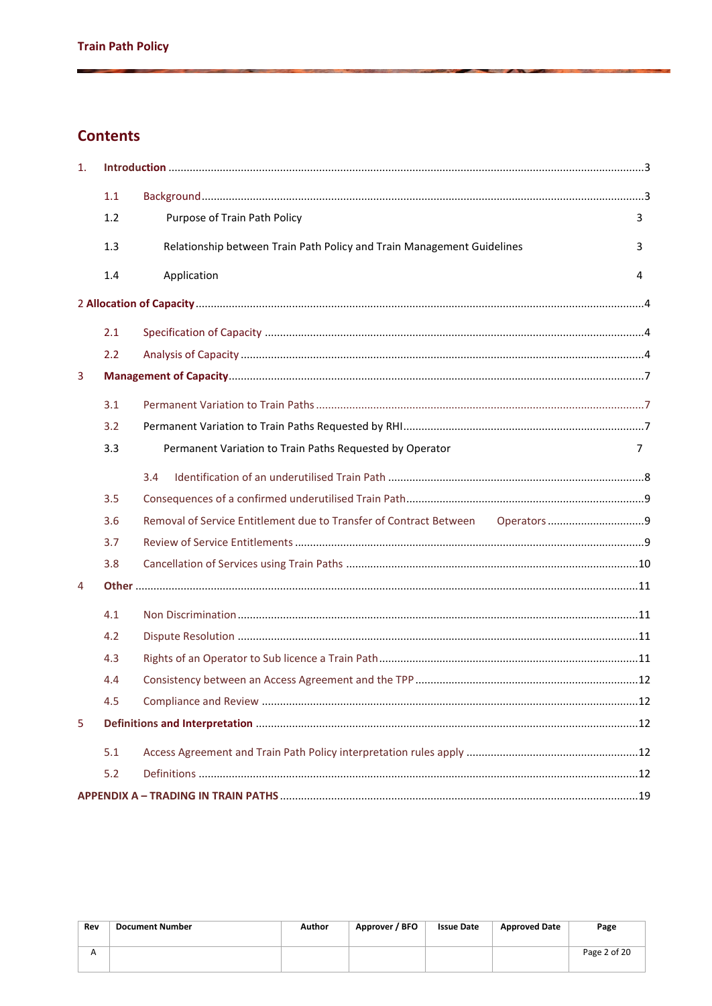### **Contents**

| 1. |     |                                                                        |   |
|----|-----|------------------------------------------------------------------------|---|
|    | 1.1 |                                                                        |   |
|    | 1.2 | Purpose of Train Path Policy                                           | 3 |
|    | 1.3 | Relationship between Train Path Policy and Train Management Guidelines | 3 |
|    | 1.4 | Application                                                            | 4 |
|    |     |                                                                        |   |
|    | 2.1 |                                                                        |   |
|    | 2.2 |                                                                        |   |
| 3  |     |                                                                        |   |
|    | 3.1 |                                                                        |   |
|    | 3.2 |                                                                        |   |
|    | 3.3 | Permanent Variation to Train Paths Requested by Operator               | 7 |
|    |     | 3.4                                                                    |   |
|    | 3.5 |                                                                        |   |
|    | 3.6 | Removal of Service Entitlement due to Transfer of Contract Between     |   |
|    | 3.7 |                                                                        |   |
|    | 3.8 |                                                                        |   |
| 4  |     |                                                                        |   |
|    | 4.1 |                                                                        |   |
|    | 4.2 |                                                                        |   |
|    | 4.3 |                                                                        |   |
|    | 4.4 |                                                                        |   |
|    | 4.5 |                                                                        |   |
| 5  |     |                                                                        |   |
|    | 5.1 |                                                                        |   |
|    | 5.2 |                                                                        |   |
|    |     |                                                                        |   |

| Rev | <b>Document Number</b> | Author | Approver / BFO | <b>Issue Date</b> | <b>Approved Date</b> | Page         |
|-----|------------------------|--------|----------------|-------------------|----------------------|--------------|
|     |                        |        |                |                   |                      | Page 2 of 20 |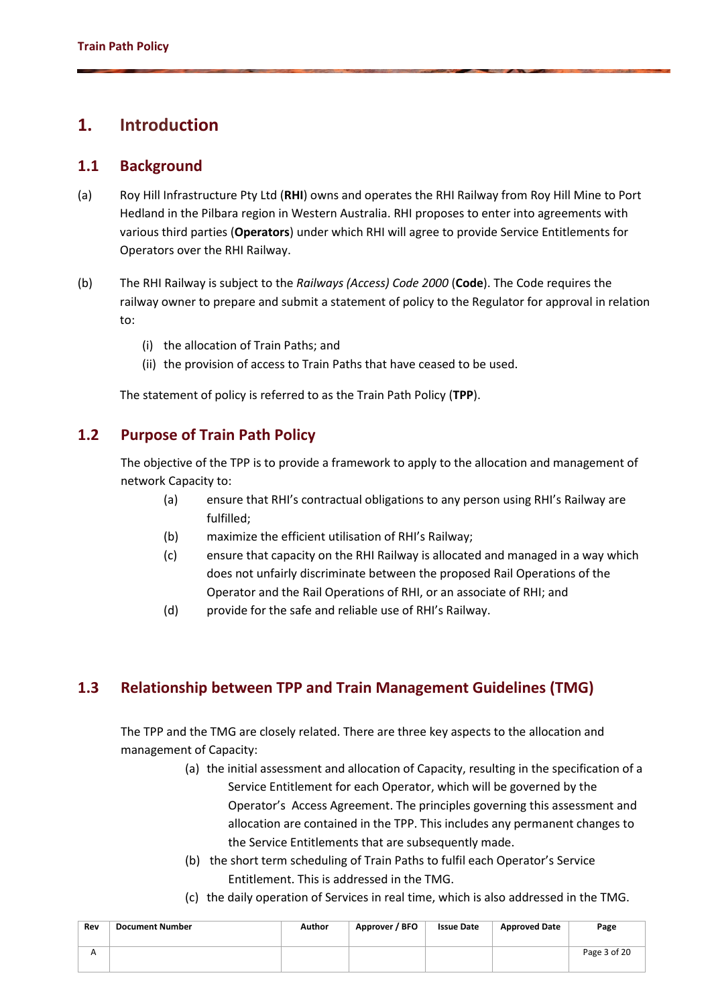# **1. Introduction**

### **1.1 Background**

- (a) Roy Hill Infrastructure Pty Ltd (**RHI**) owns and operates the RHI Railway from Roy Hill Mine to Port Hedland in the Pilbara region in Western Australia. RHI proposes to enter into agreements with various third parties (**Operators**) under which RHI will agree to provide Service Entitlements for Operators over the RHI Railway.
- (b) The RHI Railway is subject to the *Railways (Access) Code 2000* (**Code**). The Code requires the railway owner to prepare and submit a statement of policy to the Regulator for approval in relation to:
	- (i) the allocation of Train Paths; and
	- (ii) the provision of access to Train Paths that have ceased to be used.

The statement of policy is referred to as the Train Path Policy (**TPP**).

### **1.2 Purpose of Train Path Policy**

The objective of the TPP is to provide a framework to apply to the allocation and management of network Capacity to:

- (a) ensure that RHI's contractual obligations to any person using RHI's Railway are fulfilled;
- (b) maximize the efficient utilisation of RHI's Railway;
- (c) ensure that capacity on the RHI Railway is allocated and managed in a way which does not unfairly discriminate between the proposed Rail Operations of the Operator and the Rail Operations of RHI, or an associate of RHI; and
- (d) provide for the safe and reliable use of RHI's Railway.

### **1.3 Relationship between TPP and Train Management Guidelines (TMG)**

The TPP and the TMG are closely related. There are three key aspects to the allocation and management of Capacity:

- (a) the initial assessment and allocation of Capacity, resulting in the specification of a Service Entitlement for each Operator, which will be governed by the Operator's Access Agreement. The principles governing this assessment and allocation are contained in the TPP. This includes any permanent changes to the Service Entitlements that are subsequently made.
- (b) the short term scheduling of Train Paths to fulfil each Operator's Service Entitlement. This is addressed in the TMG.
- (c) the daily operation of Services in real time, which is also addressed in the TMG.

| Rev | <b>Document Number</b> | Author | Approver / BFO | <b>Issue Date</b> | <b>Approved Date</b> | Page         |
|-----|------------------------|--------|----------------|-------------------|----------------------|--------------|
|     |                        |        |                |                   |                      | Page 3 of 20 |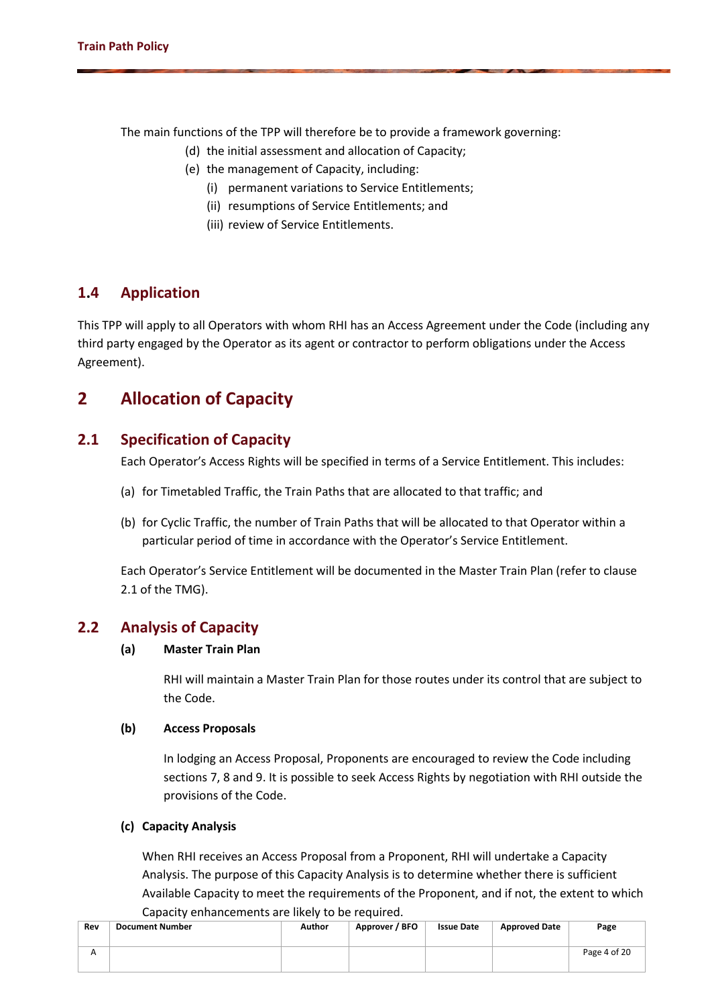The main functions of the TPP will therefore be to provide a framework governing:

- (d) the initial assessment and allocation of Capacity;
- (e) the management of Capacity, including:
	- (i) permanent variations to Service Entitlements;
	- (ii) resumptions of Service Entitlements; and
	- (iii) review of Service Entitlements.

### **1.4 Application**

This TPP will apply to all Operators with whom RHI has an Access Agreement under the Code (including any third party engaged by the Operator as its agent or contractor to perform obligations under the Access Agreement).

# **2 Allocation of Capacity**

### **2.1 Specification of Capacity**

Each Operator's Access Rights will be specified in terms of a Service Entitlement. This includes:

- (a) for Timetabled Traffic, the Train Paths that are allocated to that traffic; and
- (b) for Cyclic Traffic, the number of Train Paths that will be allocated to that Operator within a particular period of time in accordance with the Operator's Service Entitlement.

Each Operator's Service Entitlement will be documented in the Master Train Plan (refer to clause 2.1 of the TMG).

### **2.2 Analysis of Capacity**

#### **(a) Master Train Plan**

RHI will maintain a Master Train Plan for those routes under its control that are subject to the Code.

#### **(b) Access Proposals**

In lodging an Access Proposal, Proponents are encouraged to review the Code including sections 7, 8 and 9. It is possible to seek Access Rights by negotiation with RHI outside the provisions of the Code.

#### **(c) Capacity Analysis**

When RHI receives an Access Proposal from a Proponent, RHI will undertake a Capacity Analysis. The purpose of this Capacity Analysis is to determine whether there is sufficient Available Capacity to meet the requirements of the Proponent, and if not, the extent to which Capacity enhancements are likely to be required.

| Rev | <b>Document Number</b> | Author | Approver / BFO | <b>Issue Date</b> | <b>Approved Date</b> | Page         |
|-----|------------------------|--------|----------------|-------------------|----------------------|--------------|
|     |                        |        |                |                   |                      | Page 4 of 20 |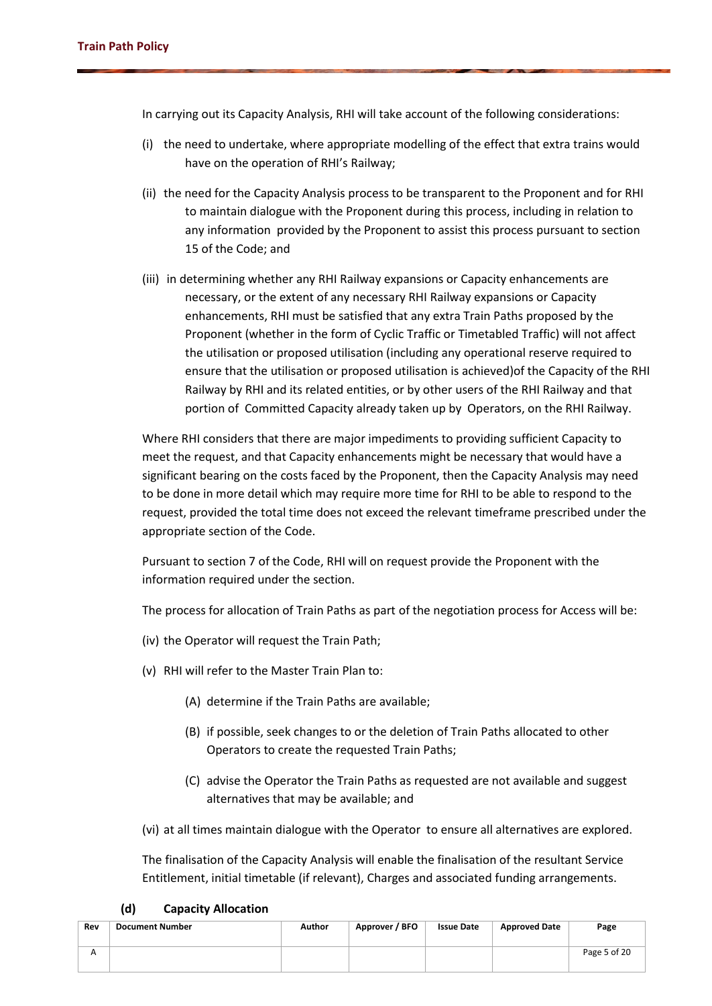In carrying out its Capacity Analysis, RHI will take account of the following considerations:

- (i) the need to undertake, where appropriate modelling of the effect that extra trains would have on the operation of RHI's Railway;
- (ii) the need for the Capacity Analysis process to be transparent to the Proponent and for RHI to maintain dialogue with the Proponent during this process, including in relation to any information provided by the Proponent to assist this process pursuant to section 15 of the Code; and
- (iii) in determining whether any RHI Railway expansions or Capacity enhancements are necessary, or the extent of any necessary RHI Railway expansions or Capacity enhancements, RHI must be satisfied that any extra Train Paths proposed by the Proponent (whether in the form of Cyclic Traffic or Timetabled Traffic) will not affect the utilisation or proposed utilisation (including any operational reserve required to ensure that the utilisation or proposed utilisation is achieved)of the Capacity of the RHI Railway by RHI and its related entities, or by other users of the RHI Railway and that portion of Committed Capacity already taken up by Operators, on the RHI Railway.

Where RHI considers that there are major impediments to providing sufficient Capacity to meet the request, and that Capacity enhancements might be necessary that would have a significant bearing on the costs faced by the Proponent, then the Capacity Analysis may need to be done in more detail which may require more time for RHI to be able to respond to the request, provided the total time does not exceed the relevant timeframe prescribed under the appropriate section of the Code.

Pursuant to section 7 of the Code, RHI will on request provide the Proponent with the information required under the section.

The process for allocation of Train Paths as part of the negotiation process for Access will be:

- (iv) the Operator will request the Train Path;
- (v) RHI will refer to the Master Train Plan to:
	- (A) determine if the Train Paths are available;
	- (B) if possible, seek changes to or the deletion of Train Paths allocated to other Operators to create the requested Train Paths;
	- (C) advise the Operator the Train Paths as requested are not available and suggest alternatives that may be available; and

(vi) at all times maintain dialogue with the Operator to ensure all alternatives are explored.

The finalisation of the Capacity Analysis will enable the finalisation of the resultant Service Entitlement, initial timetable (if relevant), Charges and associated funding arrangements.

| Rev | ,<br>capacity ruiocation<br><b>Document Number</b> | Author | Approver / BFO | <b>Issue Date</b> | <b>Approved Date</b> | Page         |
|-----|----------------------------------------------------|--------|----------------|-------------------|----------------------|--------------|
| Λ   |                                                    |        |                |                   |                      | Page 5 of 20 |

#### **(d) Capacity Allocation**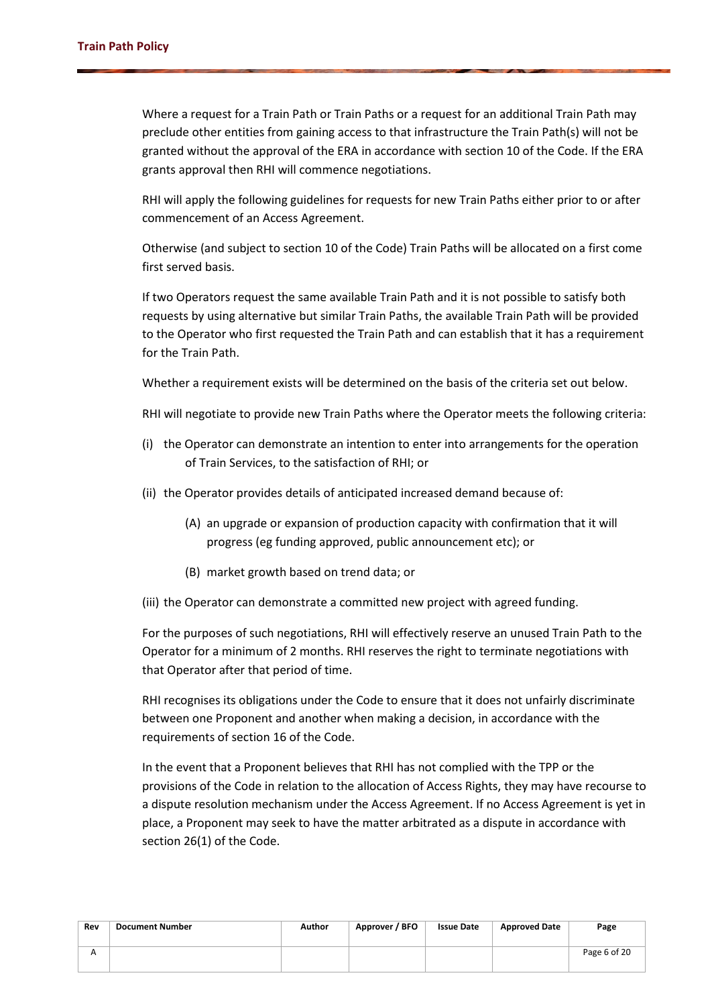Where a request for a Train Path or Train Paths or a request for an additional Train Path may preclude other entities from gaining access to that infrastructure the Train Path(s) will not be granted without the approval of the ERA in accordance with section 10 of the Code. If the ERA grants approval then RHI will commence negotiations.

RHI will apply the following guidelines for requests for new Train Paths either prior to or after commencement of an Access Agreement.

Otherwise (and subject to section 10 of the Code) Train Paths will be allocated on a first come first served basis.

If two Operators request the same available Train Path and it is not possible to satisfy both requests by using alternative but similar Train Paths, the available Train Path will be provided to the Operator who first requested the Train Path and can establish that it has a requirement for the Train Path.

Whether a requirement exists will be determined on the basis of the criteria set out below.

RHI will negotiate to provide new Train Paths where the Operator meets the following criteria:

- (i) the Operator can demonstrate an intention to enter into arrangements for the operation of Train Services, to the satisfaction of RHI; or
- (ii) the Operator provides details of anticipated increased demand because of:
	- (A) an upgrade or expansion of production capacity with confirmation that it will progress (eg funding approved, public announcement etc); or
	- (B) market growth based on trend data; or
- (iii) the Operator can demonstrate a committed new project with agreed funding.

For the purposes of such negotiations, RHI will effectively reserve an unused Train Path to the Operator for a minimum of 2 months. RHI reserves the right to terminate negotiations with that Operator after that period of time.

RHI recognises its obligations under the Code to ensure that it does not unfairly discriminate between one Proponent and another when making a decision, in accordance with the requirements of section 16 of the Code.

In the event that a Proponent believes that RHI has not complied with the TPP or the provisions of the Code in relation to the allocation of Access Rights, they may have recourse to a dispute resolution mechanism under the Access Agreement. If no Access Agreement is yet in place, a Proponent may seek to have the matter arbitrated as a dispute in accordance with section 26(1) of the Code.

| Rev | <b>Document Number</b> | Author | Approver / BFO | <b>Issue Date</b> | <b>Approved Date</b> | Page         |
|-----|------------------------|--------|----------------|-------------------|----------------------|--------------|
|     |                        |        |                |                   |                      | Page 6 of 20 |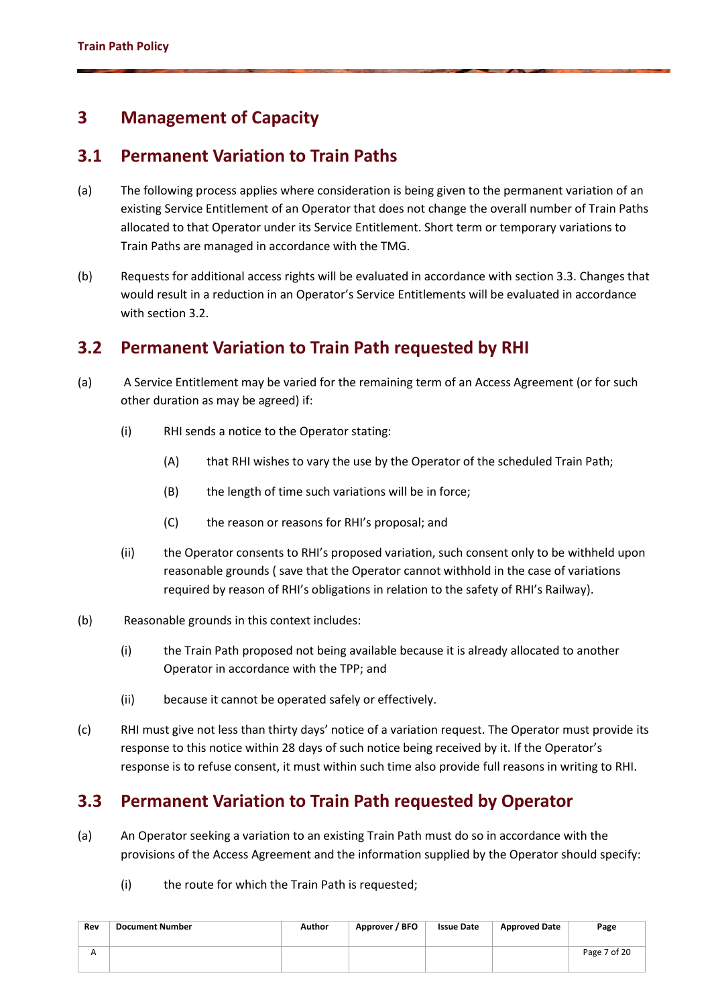# **3 Management of Capacity**

# **3.1 Permanent Variation to Train Paths**

- (a) The following process applies where consideration is being given to the permanent variation of an existing Service Entitlement of an Operator that does not change the overall number of Train Paths allocated to that Operator under its Service Entitlement. Short term or temporary variations to Train Paths are managed in accordance with the TMG.
- (b) Requests for additional access rights will be evaluated in accordance with section 3.3. Changes that would result in a reduction in an Operator's Service Entitlements will be evaluated in accordance with section 3.2.

# **3.2 Permanent Variation to Train Path requested by RHI**

- (a) A Service Entitlement may be varied for the remaining term of an Access Agreement (or for such other duration as may be agreed) if:
	- (i) RHI sends a notice to the Operator stating:
		- (A) that RHI wishes to vary the use by the Operator of the scheduled Train Path;
		- (B) the length of time such variations will be in force;
		- (C) the reason or reasons for RHI's proposal; and
	- (ii) the Operator consents to RHI's proposed variation, such consent only to be withheld upon reasonable grounds ( save that the Operator cannot withhold in the case of variations required by reason of RHI's obligations in relation to the safety of RHI's Railway).
- (b) Reasonable grounds in this context includes:
	- (i) the Train Path proposed not being available because it is already allocated to another Operator in accordance with the TPP; and
	- (ii) because it cannot be operated safely or effectively.
- (c) RHI must give not less than thirty days' notice of a variation request. The Operator must provide its response to this notice within 28 days of such notice being received by it. If the Operator's response is to refuse consent, it must within such time also provide full reasons in writing to RHI.

# **3.3 Permanent Variation to Train Path requested by Operator**

- (a) An Operator seeking a variation to an existing Train Path must do so in accordance with the provisions of the Access Agreement and the information supplied by the Operator should specify:
	- (i) the route for which the Train Path is requested;

| Rev | <b>Document Number</b> | Author | Approver / BFO | <b>Issue Date</b> | <b>Approved Date</b> | Page         |
|-----|------------------------|--------|----------------|-------------------|----------------------|--------------|
|     |                        |        |                |                   |                      | Page 7 of 20 |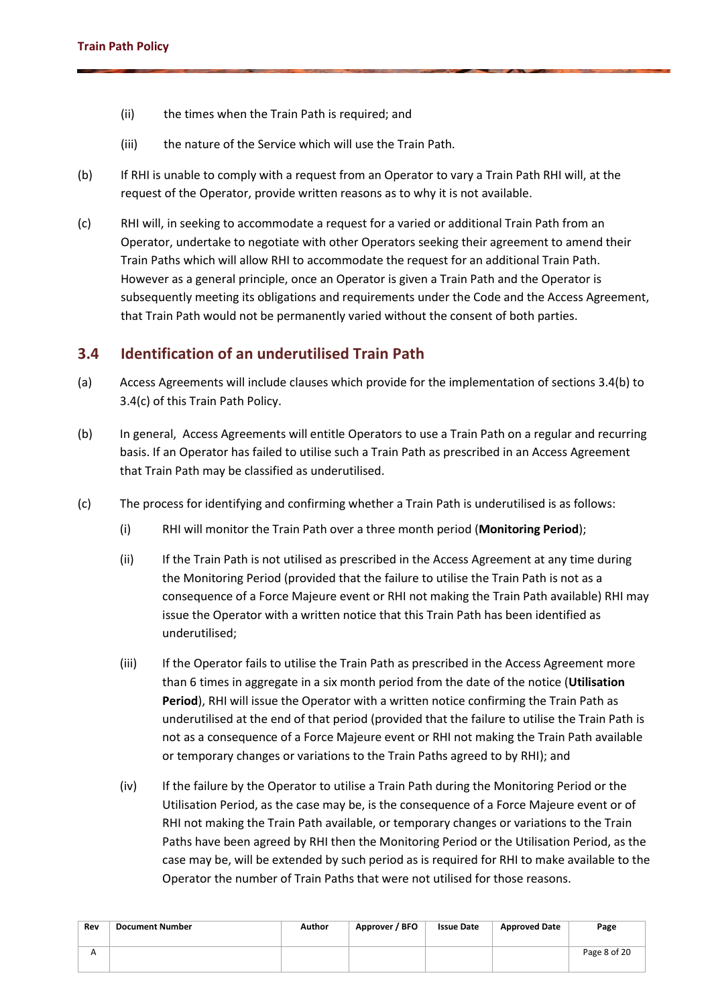- (ii) the times when the Train Path is required; and
- (iii) the nature of the Service which will use the Train Path.
- (b) If RHI is unable to comply with a request from an Operator to vary a Train Path RHI will, at the request of the Operator, provide written reasons as to why it is not available.
- (c) RHI will, in seeking to accommodate a request for a varied or additional Train Path from an Operator, undertake to negotiate with other Operators seeking their agreement to amend their Train Paths which will allow RHI to accommodate the request for an additional Train Path. However as a general principle, once an Operator is given a Train Path and the Operator is subsequently meeting its obligations and requirements under the Code and the Access Agreement, that Train Path would not be permanently varied without the consent of both parties.

### **3.4 Identification of an underutilised Train Path**

- (a) Access Agreements will include clauses which provide for the implementation of sections 3.[4\(b\)](#page-7-0) to 3.[4\(c\)](#page-7-1) of this Train Path Policy.
- <span id="page-7-0"></span>(b) In general, Access Agreements will entitle Operators to use a Train Path on a regular and recurring basis. If an Operator has failed to utilise such a Train Path as prescribed in an Access Agreement that Train Path may be classified as underutilised.
- <span id="page-7-1"></span>(c) The process for identifying and confirming whether a Train Path is underutilised is as follows:
	- (i) RHI will monitor the Train Path over a three month period (**Monitoring Period**);
	- (ii) If the Train Path is not utilised as prescribed in the Access Agreement at any time during the Monitoring Period (provided that the failure to utilise the Train Path is not as a consequence of a Force Majeure event or RHI not making the Train Path available) RHI may issue the Operator with a written notice that this Train Path has been identified as underutilised;
	- (iii) If the Operator fails to utilise the Train Path as prescribed in the Access Agreement more than 6 times in aggregate in a six month period from the date of the notice (**Utilisation Period**), RHI will issue the Operator with a written notice confirming the Train Path as underutilised at the end of that period (provided that the failure to utilise the Train Path is not as a consequence of a Force Majeure event or RHI not making the Train Path available or temporary changes or variations to the Train Paths agreed to by RHI); and
	- (iv) If the failure by the Operator to utilise a Train Path during the Monitoring Period or the Utilisation Period, as the case may be, is the consequence of a Force Majeure event or of RHI not making the Train Path available, or temporary changes or variations to the Train Paths have been agreed by RHI then the Monitoring Period or the Utilisation Period, as the case may be, will be extended by such period as is required for RHI to make available to the Operator the number of Train Paths that were not utilised for those reasons.

| Rev | <b>Document Number</b> | Author | Approver / BFO | <b>Issue Date</b> | <b>Approved Date</b> | Page         |
|-----|------------------------|--------|----------------|-------------------|----------------------|--------------|
|     |                        |        |                |                   |                      | Page 8 of 20 |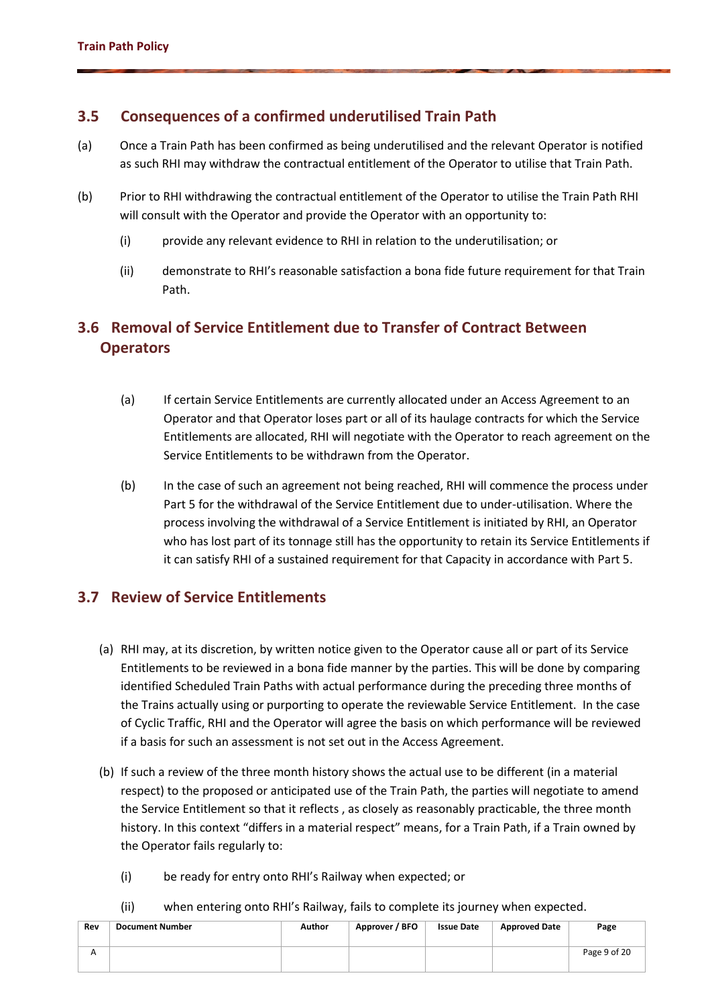### **3.5 Consequences of a confirmed underutilised Train Path**

- (a) Once a Train Path has been confirmed as being underutilised and the relevant Operator is notified as such RHI may withdraw the contractual entitlement of the Operator to utilise that Train Path.
- (b) Prior to RHI withdrawing the contractual entitlement of the Operator to utilise the Train Path RHI will consult with the Operator and provide the Operator with an opportunity to:
	- (i) provide any relevant evidence to RHI in relation to the underutilisation; or
	- (ii) demonstrate to RHI's reasonable satisfaction a bona fide future requirement for that Train Path.

# **3.6 Removal of Service Entitlement due to Transfer of Contract Between Operators**

- (a) If certain Service Entitlements are currently allocated under an Access Agreement to an Operator and that Operator loses part or all of its haulage contracts for which the Service Entitlements are allocated, RHI will negotiate with the Operator to reach agreement on the Service Entitlements to be withdrawn from the Operator.
- (b) In the case of such an agreement not being reached, RHI will commence the process under Part 5 for the withdrawal of the Service Entitlement due to under-utilisation. Where the process involving the withdrawal of a Service Entitlement is initiated by RHI, an Operator who has lost part of its tonnage still has the opportunity to retain its Service Entitlements if it can satisfy RHI of a sustained requirement for that Capacity in accordance with Part 5.

### **3.7 Review of Service Entitlements**

- (a) RHI may, at its discretion, by written notice given to the Operator cause all or part of its Service Entitlements to be reviewed in a bona fide manner by the parties. This will be done by comparing identified Scheduled Train Paths with actual performance during the preceding three months of the Trains actually using or purporting to operate the reviewable Service Entitlement. In the case of Cyclic Traffic, RHI and the Operator will agree the basis on which performance will be reviewed if a basis for such an assessment is not set out in the Access Agreement.
- (b) If such a review of the three month history shows the actual use to be different (in a material respect) to the proposed or anticipated use of the Train Path, the parties will negotiate to amend the Service Entitlement so that it reflects , as closely as reasonably practicable, the three month history. In this context "differs in a material respect" means, for a Train Path, if a Train owned by the Operator fails regularly to:
	- (i) be ready for entry onto RHI's Railway when expected; or
	- (ii) when entering onto RHI's Railway, fails to complete its journey when expected.

| Rev | <b>Document Number</b> | Author | Approver / BFO | <b>Issue Date</b> | <b>Approved Date</b> | Page         |
|-----|------------------------|--------|----------------|-------------------|----------------------|--------------|
|     |                        |        |                |                   |                      | Page 9 of 20 |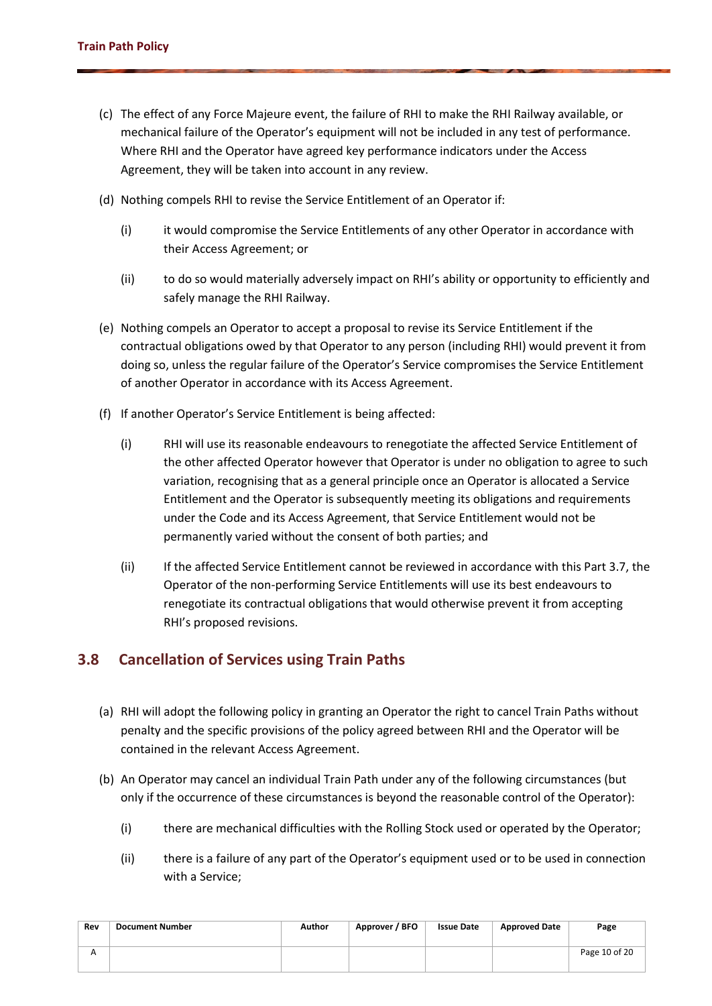- (c) The effect of any Force Majeure event, the failure of RHI to make the RHI Railway available, or mechanical failure of the Operator's equipment will not be included in any test of performance. Where RHI and the Operator have agreed key performance indicators under the Access Agreement, they will be taken into account in any review.
- (d) Nothing compels RHI to revise the Service Entitlement of an Operator if:
	- (i) it would compromise the Service Entitlements of any other Operator in accordance with their Access Agreement; or
	- (ii) to do so would materially adversely impact on RHI's ability or opportunity to efficiently and safely manage the RHI Railway.
- (e) Nothing compels an Operator to accept a proposal to revise its Service Entitlement if the contractual obligations owed by that Operator to any person (including RHI) would prevent it from doing so, unless the regular failure of the Operator's Service compromises the Service Entitlement of another Operator in accordance with its Access Agreement.
- (f) If another Operator's Service Entitlement is being affected:
	- (i) RHI will use its reasonable endeavours to renegotiate the affected Service Entitlement of the other affected Operator however that Operator is under no obligation to agree to such variation, recognising that as a general principle once an Operator is allocated a Service Entitlement and the Operator is subsequently meeting its obligations and requirements under the Code and its Access Agreement, that Service Entitlement would not be permanently varied without the consent of both parties; and
	- (ii) If the affected Service Entitlement cannot be reviewed in accordance with this Part 3.7, the Operator of the non-performing Service Entitlements will use its best endeavours to renegotiate its contractual obligations that would otherwise prevent it from accepting RHI's proposed revisions.

### **3.8 Cancellation of Services using Train Paths**

- (a) RHI will adopt the following policy in granting an Operator the right to cancel Train Paths without penalty and the specific provisions of the policy agreed between RHI and the Operator will be contained in the relevant Access Agreement.
- (b) An Operator may cancel an individual Train Path under any of the following circumstances (but only if the occurrence of these circumstances is beyond the reasonable control of the Operator):
	- (i) there are mechanical difficulties with the Rolling Stock used or operated by the Operator;
	- (ii) there is a failure of any part of the Operator's equipment used or to be used in connection with a Service;

| Rev | <b>Document Number</b> | Author | Approver / BFO | <b>Issue Date</b> | <b>Approved Date</b> | Page          |
|-----|------------------------|--------|----------------|-------------------|----------------------|---------------|
|     |                        |        |                |                   |                      | Page 10 of 20 |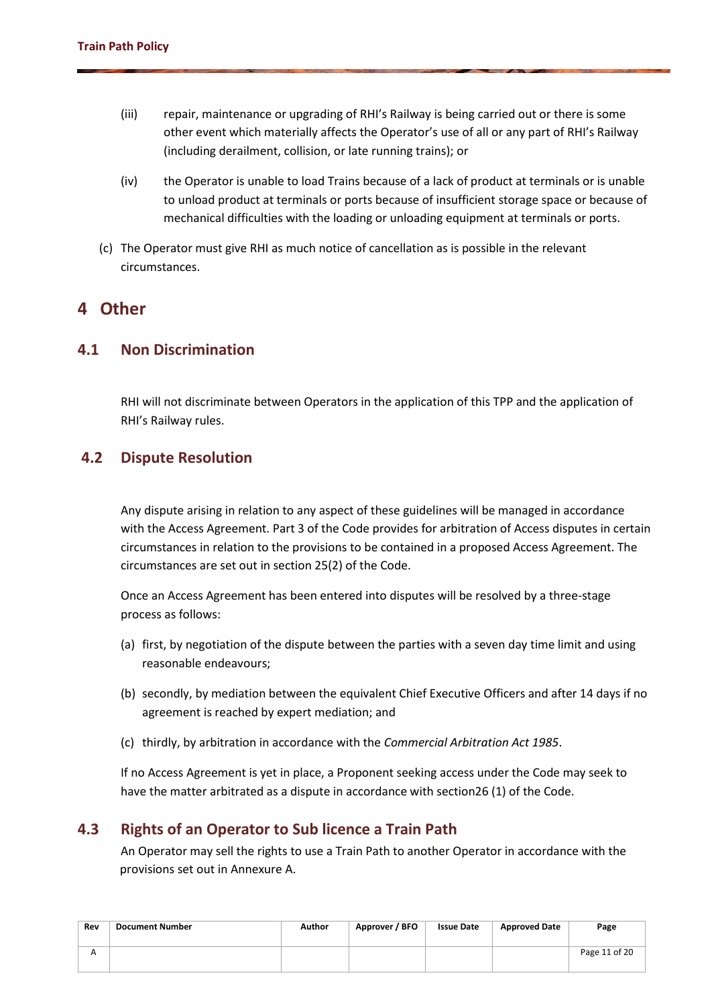- (iii) repair, maintenance or upgrading of RHI's Railway is being carried out or there is some other event which materially affects the Operator's use of all or any part of RHI's Railway (including derailment, collision, or late running trains); or
- (iv) the Operator is unable to load Trains because of a lack of product at terminals or is unable to unload product at terminals or ports because of insufficient storage space or because of mechanical difficulties with the loading or unloading equipment at terminals or ports.
- (c) The Operator must give RHI as much notice of cancellation as is possible in the relevant circumstances.

### **4 Other**

#### **4.1 Non Discrimination**

RHI will not discriminate between Operators in the application of this TPP and the application of RHI's Railway rules.

### **4.2 Dispute Resolution**

Any dispute arising in relation to any aspect of these guidelines will be managed in accordance with the Access Agreement. Part 3 of the Code provides for arbitration of Access disputes in certain circumstances in relation to the provisions to be contained in a proposed Access Agreement. The circumstances are set out in section 25(2) of the Code.

Once an Access Agreement has been entered into disputes will be resolved by a three-stage process as follows:

- (a) first, by negotiation of the dispute between the parties with a seven day time limit and using reasonable endeavours;
- (b) secondly, by mediation between the equivalent Chief Executive Officers and after 14 days if no agreement is reached by expert mediation; and
- (c) thirdly, by arbitration in accordance with the *Commercial Arbitration Act 1985*.

If no Access Agreement is yet in place, a Proponent seeking access under the Code may seek to have the matter arbitrated as a dispute in accordance with section26 (1) of the Code.

### **4.3 Rights of an Operator to Sub licence a Train Path**

An Operator may sell the rights to use a Train Path to another Operator in accordance with the provisions set out in Annexure A.

| Rev          | <b>Document Number</b> | Author | Approver / BFO | <b>Issue Date</b> | <b>Approved Date</b> | Page          |
|--------------|------------------------|--------|----------------|-------------------|----------------------|---------------|
| $\mathbf{v}$ |                        |        |                |                   |                      | Page 11 of 20 |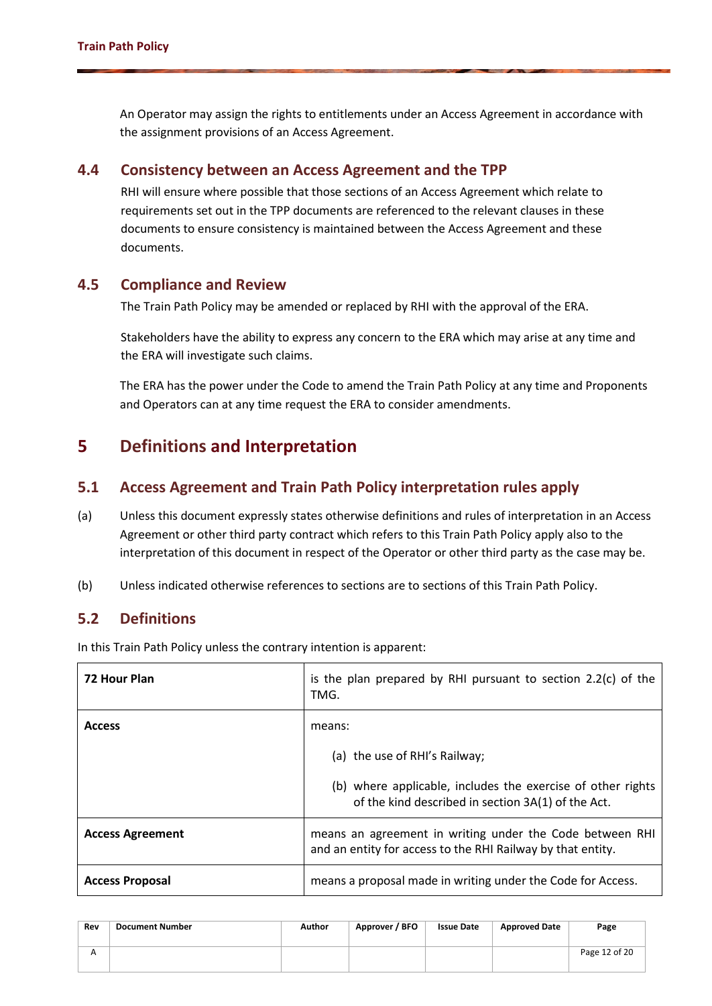An Operator may assign the rights to entitlements under an Access Agreement in accordance with the assignment provisions of an Access Agreement.

#### **4.4 Consistency between an Access Agreement and the TPP**

RHI will ensure where possible that those sections of an Access Agreement which relate to requirements set out in the TPP documents are referenced to the relevant clauses in these documents to ensure consistency is maintained between the Access Agreement and these documents.

#### **4.5 Compliance and Review**

The Train Path Policy may be amended or replaced by RHI with the approval of the ERA.

Stakeholders have the ability to express any concern to the ERA which may arise at any time and the ERA will investigate such claims.

The ERA has the power under the Code to amend the Train Path Policy at any time and Proponents and Operators can at any time request the ERA to consider amendments.

## **5 Definitions and Interpretation**

### **5.1 Access Agreement and Train Path Policy interpretation rules apply**

- (a) Unless this document expressly states otherwise definitions and rules of interpretation in an Access Agreement or other third party contract which refers to this Train Path Policy apply also to the interpretation of this document in respect of the Operator or other third party as the case may be.
- (b) Unless indicated otherwise references to sections are to sections of this Train Path Policy.

### **5.2 Definitions**

In this Train Path Policy unless the contrary intention is apparent:

| <b>72 Hour Plan</b>     | is the plan prepared by RHI pursuant to section $2.2(c)$ of the<br>TMG.                                                 |  |  |  |  |
|-------------------------|-------------------------------------------------------------------------------------------------------------------------|--|--|--|--|
| <b>Access</b>           | means:                                                                                                                  |  |  |  |  |
|                         | (a) the use of RHI's Railway;                                                                                           |  |  |  |  |
|                         | (b) where applicable, includes the exercise of other rights<br>of the kind described in section 3A(1) of the Act.       |  |  |  |  |
| <b>Access Agreement</b> | means an agreement in writing under the Code between RHI<br>and an entity for access to the RHI Railway by that entity. |  |  |  |  |
| <b>Access Proposal</b>  | means a proposal made in writing under the Code for Access.                                                             |  |  |  |  |

| Rev | <b>Document Number</b> | <b>Author</b> | Approver / BFO | <b>Issue Date</b> | <b>Approved Date</b> | Page          |
|-----|------------------------|---------------|----------------|-------------------|----------------------|---------------|
|     |                        |               |                |                   |                      | Page 12 of 20 |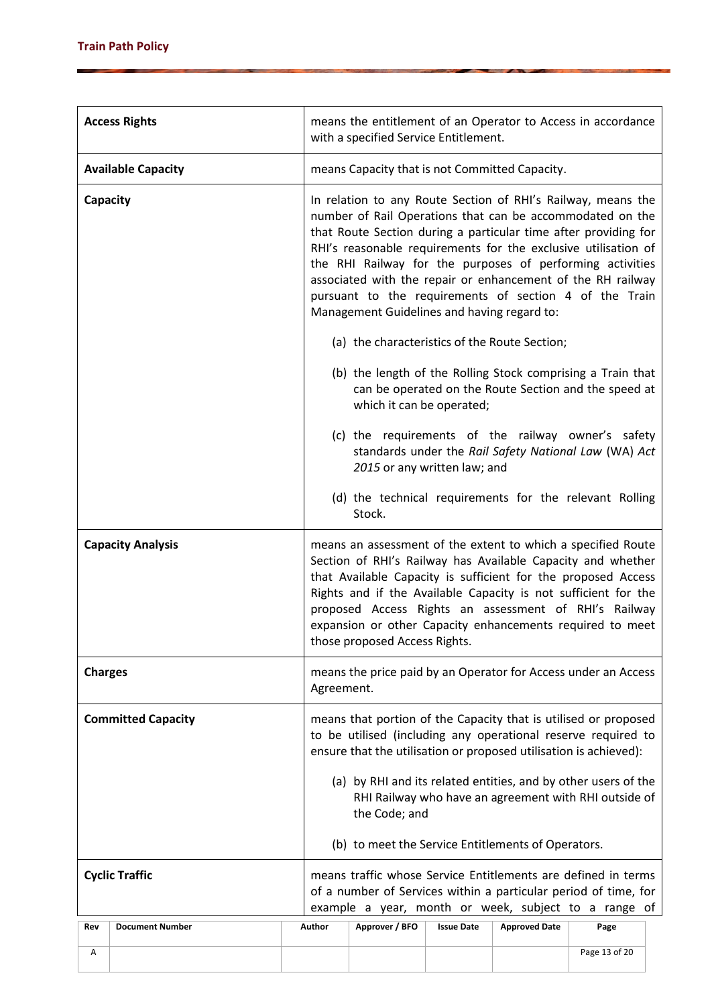|                | <b>Access Rights</b>      |        | means the entitlement of an Operator to Access in accordance<br>with a specified Service Entitlement.                                                                                                                                                                                                                                                                                                                                                                                               |                   |                      |               |  |  |  |
|----------------|---------------------------|--------|-----------------------------------------------------------------------------------------------------------------------------------------------------------------------------------------------------------------------------------------------------------------------------------------------------------------------------------------------------------------------------------------------------------------------------------------------------------------------------------------------------|-------------------|----------------------|---------------|--|--|--|
|                | <b>Available Capacity</b> |        | means Capacity that is not Committed Capacity.                                                                                                                                                                                                                                                                                                                                                                                                                                                      |                   |                      |               |  |  |  |
| Capacity       |                           |        | In relation to any Route Section of RHI's Railway, means the<br>number of Rail Operations that can be accommodated on the<br>that Route Section during a particular time after providing for<br>RHI's reasonable requirements for the exclusive utilisation of<br>the RHI Railway for the purposes of performing activities<br>associated with the repair or enhancement of the RH railway<br>pursuant to the requirements of section 4 of the Train<br>Management Guidelines and having regard to: |                   |                      |               |  |  |  |
|                |                           |        | (a) the characteristics of the Route Section;                                                                                                                                                                                                                                                                                                                                                                                                                                                       |                   |                      |               |  |  |  |
|                |                           |        | (b) the length of the Rolling Stock comprising a Train that<br>can be operated on the Route Section and the speed at<br>which it can be operated;                                                                                                                                                                                                                                                                                                                                                   |                   |                      |               |  |  |  |
|                |                           |        | (c) the requirements of the railway owner's safety<br>standards under the Rail Safety National Law (WA) Act<br>2015 or any written law; and                                                                                                                                                                                                                                                                                                                                                         |                   |                      |               |  |  |  |
|                |                           |        | Stock.                                                                                                                                                                                                                                                                                                                                                                                                                                                                                              |                   |                      |               |  |  |  |
|                | <b>Capacity Analysis</b>  |        | (d) the technical requirements for the relevant Rolling<br>means an assessment of the extent to which a specified Route<br>Section of RHI's Railway has Available Capacity and whether<br>that Available Capacity is sufficient for the proposed Access<br>Rights and if the Available Capacity is not sufficient for the<br>proposed Access Rights an assessment of RHI's Railway<br>expansion or other Capacity enhancements required to meet<br>those proposed Access Rights.                    |                   |                      |               |  |  |  |
| <b>Charges</b> |                           |        | means the price paid by an Operator for Access under an Access                                                                                                                                                                                                                                                                                                                                                                                                                                      |                   |                      |               |  |  |  |
|                | <b>Committed Capacity</b> |        | Agreement.<br>means that portion of the Capacity that is utilised or proposed<br>to be utilised (including any operational reserve required to<br>ensure that the utilisation or proposed utilisation is achieved):<br>(a) by RHI and its related entities, and by other users of the<br>RHI Railway who have an agreement with RHI outside of<br>the Code; and<br>(b) to meet the Service Entitlements of Operators.                                                                               |                   |                      |               |  |  |  |
|                | <b>Cyclic Traffic</b>     |        |                                                                                                                                                                                                                                                                                                                                                                                                                                                                                                     |                   |                      |               |  |  |  |
|                |                           |        | means traffic whose Service Entitlements are defined in terms<br>of a number of Services within a particular period of time, for<br>example a year, month or week, subject to a range of                                                                                                                                                                                                                                                                                                            |                   |                      |               |  |  |  |
| Rev            | <b>Document Number</b>    | Author | Approver / BFO                                                                                                                                                                                                                                                                                                                                                                                                                                                                                      | <b>Issue Date</b> | <b>Approved Date</b> | Page          |  |  |  |
| Α              |                           |        |                                                                                                                                                                                                                                                                                                                                                                                                                                                                                                     |                   |                      | Page 13 of 20 |  |  |  |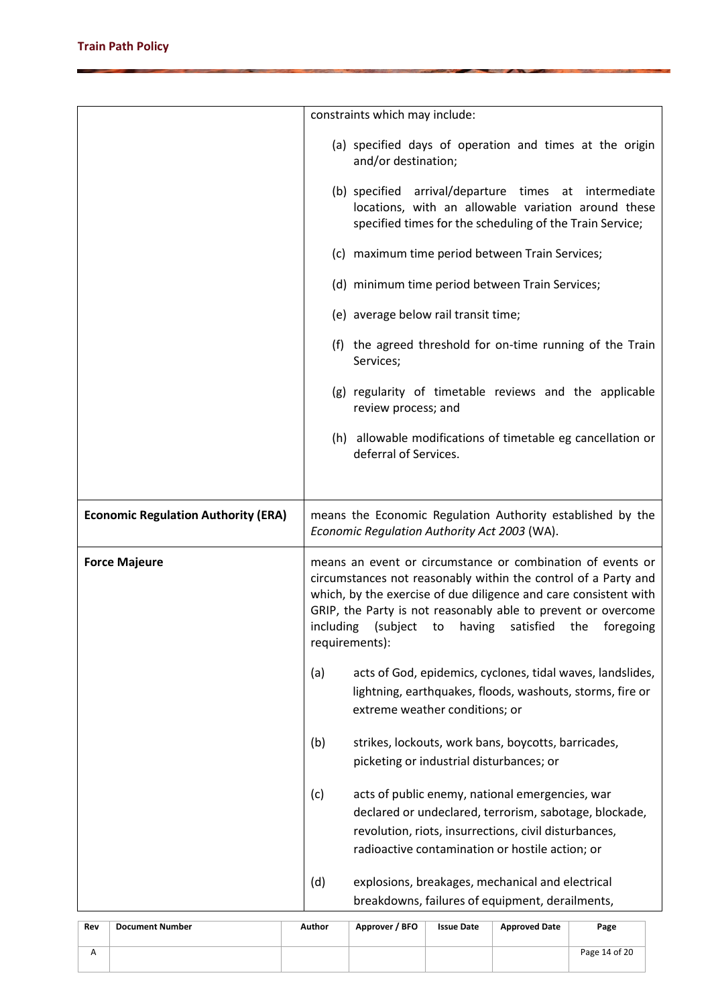|                                            | constraints which may include:                                                                                                                                                                                                                                                                                                                             |  |  |  |  |
|--------------------------------------------|------------------------------------------------------------------------------------------------------------------------------------------------------------------------------------------------------------------------------------------------------------------------------------------------------------------------------------------------------------|--|--|--|--|
|                                            | (a) specified days of operation and times at the origin<br>and/or destination;                                                                                                                                                                                                                                                                             |  |  |  |  |
|                                            | (b) specified arrival/departure times at intermediate<br>locations, with an allowable variation around these<br>specified times for the scheduling of the Train Service;                                                                                                                                                                                   |  |  |  |  |
|                                            | (c) maximum time period between Train Services;                                                                                                                                                                                                                                                                                                            |  |  |  |  |
|                                            | (d) minimum time period between Train Services;                                                                                                                                                                                                                                                                                                            |  |  |  |  |
|                                            | (e) average below rail transit time;                                                                                                                                                                                                                                                                                                                       |  |  |  |  |
|                                            | (f) the agreed threshold for on-time running of the Train<br>Services;                                                                                                                                                                                                                                                                                     |  |  |  |  |
|                                            | (g) regularity of timetable reviews and the applicable<br>review process; and                                                                                                                                                                                                                                                                              |  |  |  |  |
|                                            | (h) allowable modifications of timetable eg cancellation or<br>deferral of Services.                                                                                                                                                                                                                                                                       |  |  |  |  |
|                                            |                                                                                                                                                                                                                                                                                                                                                            |  |  |  |  |
| <b>Economic Regulation Authority (ERA)</b> | means the Economic Regulation Authority established by the<br>Economic Regulation Authority Act 2003 (WA).                                                                                                                                                                                                                                                 |  |  |  |  |
| <b>Force Majeure</b>                       | means an event or circumstance or combination of events or<br>circumstances not reasonably within the control of a Party and<br>which, by the exercise of due diligence and care consistent with<br>GRIP, the Party is not reasonably able to prevent or overcome<br>including<br>having<br>satisfied<br>(subject<br>to<br>the foregoing<br>requirements): |  |  |  |  |
|                                            | (a)<br>acts of God, epidemics, cyclones, tidal waves, landslides,<br>lightning, earthquakes, floods, washouts, storms, fire or<br>extreme weather conditions; or                                                                                                                                                                                           |  |  |  |  |
|                                            |                                                                                                                                                                                                                                                                                                                                                            |  |  |  |  |
|                                            | (b)<br>strikes, lockouts, work bans, boycotts, barricades,<br>picketing or industrial disturbances; or                                                                                                                                                                                                                                                     |  |  |  |  |
|                                            | acts of public enemy, national emergencies, war<br>(c)<br>declared or undeclared, terrorism, sabotage, blockade,<br>revolution, riots, insurrections, civil disturbances,<br>radioactive contamination or hostile action; or                                                                                                                               |  |  |  |  |

| Rev | <b>Document Number</b> | Author | Approver / BFO | <b>Issue Date</b> | <b>Approved Date</b> | Page          |
|-----|------------------------|--------|----------------|-------------------|----------------------|---------------|
|     |                        |        |                |                   |                      | Page 14 of 20 |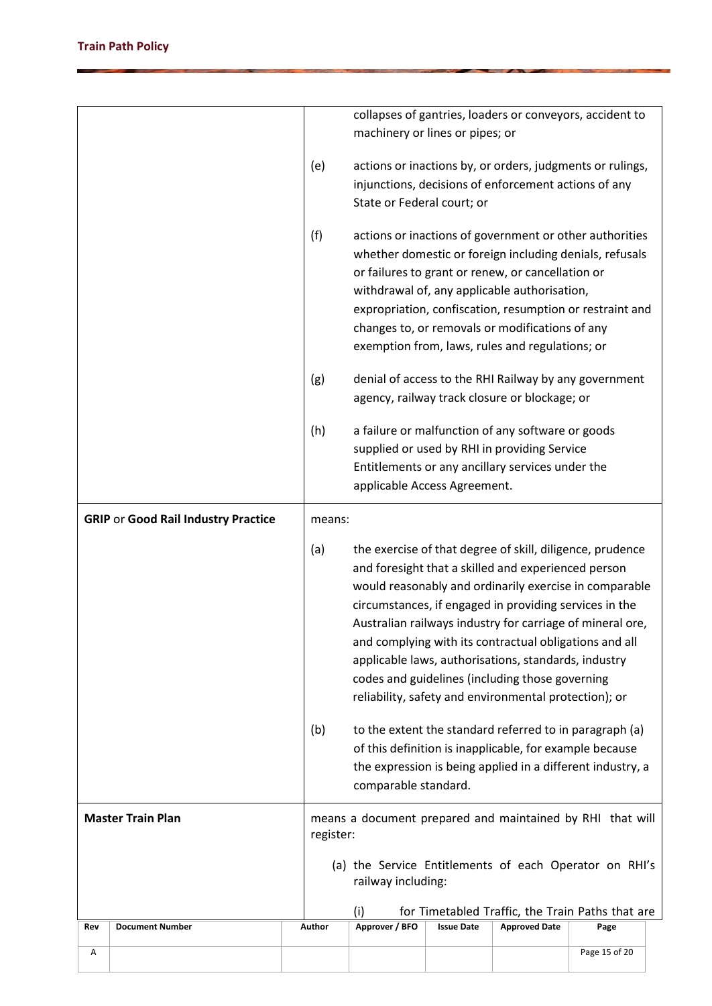|     |                                            |                                                                                                                                                                                                                                                                                                                                                                                                                                                                                                                                        |                                                                                                                                                                                                          |                   |                                                                                                                                                                                                         | collapses of gantries, loaders or conveyors, accident to                                                                                                                       |  |  |
|-----|--------------------------------------------|----------------------------------------------------------------------------------------------------------------------------------------------------------------------------------------------------------------------------------------------------------------------------------------------------------------------------------------------------------------------------------------------------------------------------------------------------------------------------------------------------------------------------------------|----------------------------------------------------------------------------------------------------------------------------------------------------------------------------------------------------------|-------------------|---------------------------------------------------------------------------------------------------------------------------------------------------------------------------------------------------------|--------------------------------------------------------------------------------------------------------------------------------------------------------------------------------|--|--|
|     |                                            |                                                                                                                                                                                                                                                                                                                                                                                                                                                                                                                                        | machinery or lines or pipes; or                                                                                                                                                                          |                   |                                                                                                                                                                                                         |                                                                                                                                                                                |  |  |
|     |                                            | (e)                                                                                                                                                                                                                                                                                                                                                                                                                                                                                                                                    | State or Federal court; or                                                                                                                                                                               |                   | injunctions, decisions of enforcement actions of any                                                                                                                                                    | actions or inactions by, or orders, judgments or rulings,                                                                                                                      |  |  |
|     |                                            | (f)                                                                                                                                                                                                                                                                                                                                                                                                                                                                                                                                    |                                                                                                                                                                                                          |                   | or failures to grant or renew, or cancellation or<br>withdrawal of, any applicable authorisation,<br>changes to, or removals or modifications of any<br>exemption from, laws, rules and regulations; or | actions or inactions of government or other authorities<br>whether domestic or foreign including denials, refusals<br>expropriation, confiscation, resumption or restraint and |  |  |
|     |                                            | (g)                                                                                                                                                                                                                                                                                                                                                                                                                                                                                                                                    |                                                                                                                                                                                                          |                   | agency, railway track closure or blockage; or                                                                                                                                                           | denial of access to the RHI Railway by any government                                                                                                                          |  |  |
|     |                                            | (h)                                                                                                                                                                                                                                                                                                                                                                                                                                                                                                                                    | applicable Access Agreement.                                                                                                                                                                             |                   | a failure or malfunction of any software or goods<br>supplied or used by RHI in providing Service<br>Entitlements or any ancillary services under the                                                   |                                                                                                                                                                                |  |  |
|     | <b>GRIP or Good Rail Industry Practice</b> | means:                                                                                                                                                                                                                                                                                                                                                                                                                                                                                                                                 |                                                                                                                                                                                                          |                   |                                                                                                                                                                                                         |                                                                                                                                                                                |  |  |
|     |                                            | (a)<br>the exercise of that degree of skill, diligence, prudence<br>and foresight that a skilled and experienced person<br>would reasonably and ordinarily exercise in comparable<br>circumstances, if engaged in providing services in the<br>Australian railways industry for carriage of mineral ore,<br>and complying with its contractual obligations and all<br>applicable laws, authorisations, standards, industry<br>codes and guidelines (including those governing<br>reliability, safety and environmental protection); or |                                                                                                                                                                                                          |                   |                                                                                                                                                                                                         |                                                                                                                                                                                |  |  |
|     |                                            | (b)                                                                                                                                                                                                                                                                                                                                                                                                                                                                                                                                    | to the extent the standard referred to in paragraph (a)<br>of this definition is inapplicable, for example because<br>the expression is being applied in a different industry, a<br>comparable standard. |                   |                                                                                                                                                                                                         |                                                                                                                                                                                |  |  |
|     | <b>Master Train Plan</b>                   |                                                                                                                                                                                                                                                                                                                                                                                                                                                                                                                                        | means a document prepared and maintained by RHI that will<br>register:                                                                                                                                   |                   |                                                                                                                                                                                                         |                                                                                                                                                                                |  |  |
|     |                                            |                                                                                                                                                                                                                                                                                                                                                                                                                                                                                                                                        | railway including:                                                                                                                                                                                       |                   |                                                                                                                                                                                                         | (a) the Service Entitlements of each Operator on RHI's                                                                                                                         |  |  |
| Rev | <b>Document Number</b>                     | Author                                                                                                                                                                                                                                                                                                                                                                                                                                                                                                                                 | (i)<br>Approver / BFO                                                                                                                                                                                    | <b>Issue Date</b> | <b>Approved Date</b>                                                                                                                                                                                    | for Timetabled Traffic, the Train Paths that are<br>Page                                                                                                                       |  |  |
| Α   |                                            |                                                                                                                                                                                                                                                                                                                                                                                                                                                                                                                                        |                                                                                                                                                                                                          |                   |                                                                                                                                                                                                         | Page 15 of 20                                                                                                                                                                  |  |  |
|     |                                            |                                                                                                                                                                                                                                                                                                                                                                                                                                                                                                                                        |                                                                                                                                                                                                          |                   |                                                                                                                                                                                                         |                                                                                                                                                                                |  |  |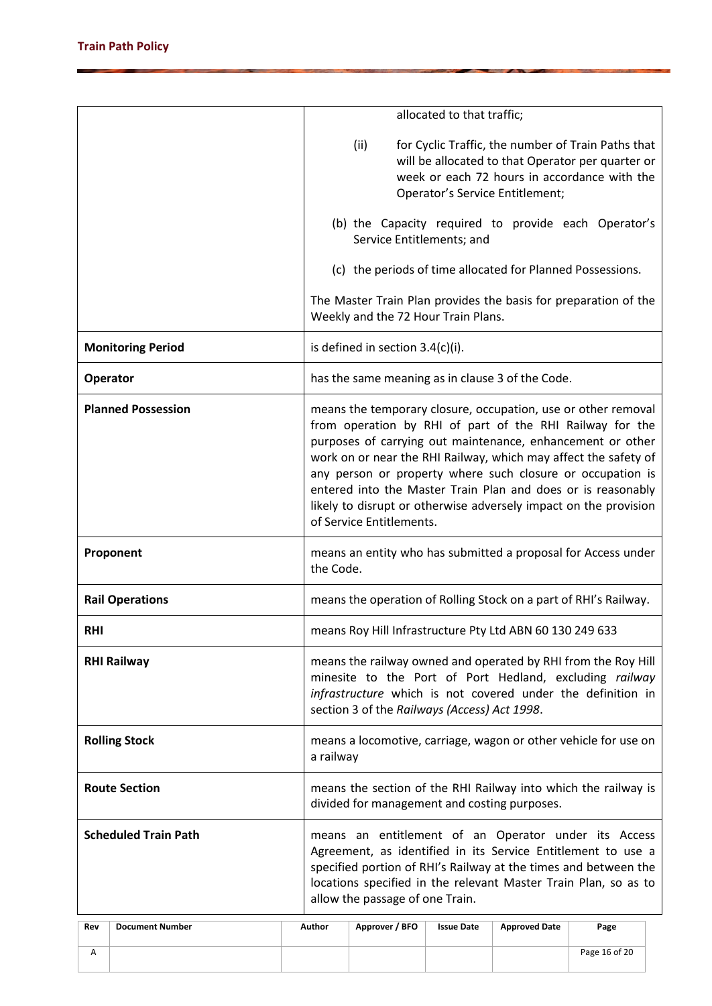|            |                             |                                                                                                                                                                                                                                         |                                                                                                                                                                                                                                                                                                                                                                                                                                                                                          | allocated to that traffic; |                                 |                                                                                                                                                         |  |  |  |
|------------|-----------------------------|-----------------------------------------------------------------------------------------------------------------------------------------------------------------------------------------------------------------------------------------|------------------------------------------------------------------------------------------------------------------------------------------------------------------------------------------------------------------------------------------------------------------------------------------------------------------------------------------------------------------------------------------------------------------------------------------------------------------------------------------|----------------------------|---------------------------------|---------------------------------------------------------------------------------------------------------------------------------------------------------|--|--|--|
|            |                             |                                                                                                                                                                                                                                         | (ii)                                                                                                                                                                                                                                                                                                                                                                                                                                                                                     |                            | Operator's Service Entitlement; | for Cyclic Traffic, the number of Train Paths that<br>will be allocated to that Operator per quarter or<br>week or each 72 hours in accordance with the |  |  |  |
|            |                             |                                                                                                                                                                                                                                         | (b) the Capacity required to provide each Operator's<br>Service Entitlements; and                                                                                                                                                                                                                                                                                                                                                                                                        |                            |                                 |                                                                                                                                                         |  |  |  |
|            |                             |                                                                                                                                                                                                                                         | (c) the periods of time allocated for Planned Possessions.                                                                                                                                                                                                                                                                                                                                                                                                                               |                            |                                 |                                                                                                                                                         |  |  |  |
|            |                             |                                                                                                                                                                                                                                         | The Master Train Plan provides the basis for preparation of the<br>Weekly and the 72 Hour Train Plans.                                                                                                                                                                                                                                                                                                                                                                                   |                            |                                 |                                                                                                                                                         |  |  |  |
|            | <b>Monitoring Period</b>    |                                                                                                                                                                                                                                         | is defined in section 3.4(c)(i).                                                                                                                                                                                                                                                                                                                                                                                                                                                         |                            |                                 |                                                                                                                                                         |  |  |  |
| Operator   |                             |                                                                                                                                                                                                                                         | has the same meaning as in clause 3 of the Code.                                                                                                                                                                                                                                                                                                                                                                                                                                         |                            |                                 |                                                                                                                                                         |  |  |  |
|            | <b>Planned Possession</b>   |                                                                                                                                                                                                                                         | means the temporary closure, occupation, use or other removal<br>from operation by RHI of part of the RHI Railway for the<br>purposes of carrying out maintenance, enhancement or other<br>work on or near the RHI Railway, which may affect the safety of<br>any person or property where such closure or occupation is<br>entered into the Master Train Plan and does or is reasonably<br>likely to disrupt or otherwise adversely impact on the provision<br>of Service Entitlements. |                            |                                 |                                                                                                                                                         |  |  |  |
|            | Proponent                   |                                                                                                                                                                                                                                         | means an entity who has submitted a proposal for Access under<br>the Code.                                                                                                                                                                                                                                                                                                                                                                                                               |                            |                                 |                                                                                                                                                         |  |  |  |
|            | <b>Rail Operations</b>      |                                                                                                                                                                                                                                         | means the operation of Rolling Stock on a part of RHI's Railway.                                                                                                                                                                                                                                                                                                                                                                                                                         |                            |                                 |                                                                                                                                                         |  |  |  |
| <b>RHI</b> |                             |                                                                                                                                                                                                                                         | means Roy Hill Infrastructure Pty Ltd ABN 60 130 249 633                                                                                                                                                                                                                                                                                                                                                                                                                                 |                            |                                 |                                                                                                                                                         |  |  |  |
|            | <b>RHI Railway</b>          | means the railway owned and operated by RHI from the Roy Hill<br>minesite to the Port of Port Hedland, excluding railway<br>infrastructure which is not covered under the definition in<br>section 3 of the Railways (Access) Act 1998. |                                                                                                                                                                                                                                                                                                                                                                                                                                                                                          |                            |                                 |                                                                                                                                                         |  |  |  |
|            | <b>Rolling Stock</b>        | a railway                                                                                                                                                                                                                               |                                                                                                                                                                                                                                                                                                                                                                                                                                                                                          |                            |                                 | means a locomotive, carriage, wagon or other vehicle for use on                                                                                         |  |  |  |
|            | <b>Route Section</b>        |                                                                                                                                                                                                                                         | means the section of the RHI Railway into which the railway is<br>divided for management and costing purposes.                                                                                                                                                                                                                                                                                                                                                                           |                            |                                 |                                                                                                                                                         |  |  |  |
|            | <b>Scheduled Train Path</b> |                                                                                                                                                                                                                                         | means an entitlement of an Operator under its Access<br>Agreement, as identified in its Service Entitlement to use a<br>specified portion of RHI's Railway at the times and between the<br>locations specified in the relevant Master Train Plan, so as to<br>allow the passage of one Train.                                                                                                                                                                                            |                            |                                 |                                                                                                                                                         |  |  |  |
| Rev        | <b>Document Number</b>      | Author                                                                                                                                                                                                                                  | Approver / BFO                                                                                                                                                                                                                                                                                                                                                                                                                                                                           | <b>Issue Date</b>          | <b>Approved Date</b>            | Page                                                                                                                                                    |  |  |  |
| Α          |                             |                                                                                                                                                                                                                                         |                                                                                                                                                                                                                                                                                                                                                                                                                                                                                          |                            |                                 | Page 16 of 20                                                                                                                                           |  |  |  |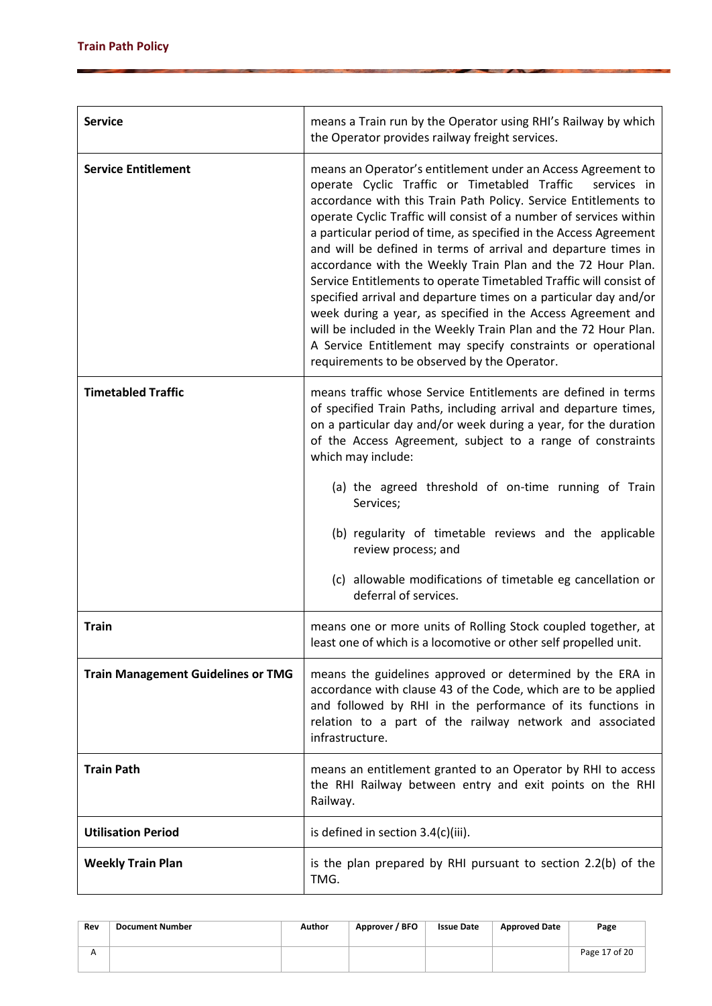| <b>Service</b>                            | means a Train run by the Operator using RHI's Railway by which<br>the Operator provides railway freight services.<br>means an Operator's entitlement under an Access Agreement to<br>operate Cyclic Traffic or Timetabled Traffic<br>services in<br>accordance with this Train Path Policy. Service Entitlements to<br>operate Cyclic Traffic will consist of a number of services within<br>a particular period of time, as specified in the Access Agreement<br>and will be defined in terms of arrival and departure times in<br>accordance with the Weekly Train Plan and the 72 Hour Plan.<br>Service Entitlements to operate Timetabled Traffic will consist of<br>specified arrival and departure times on a particular day and/or<br>week during a year, as specified in the Access Agreement and<br>will be included in the Weekly Train Plan and the 72 Hour Plan.<br>A Service Entitlement may specify constraints or operational<br>requirements to be observed by the Operator.<br>means traffic whose Service Entitlements are defined in terms<br>of specified Train Paths, including arrival and departure times,<br>on a particular day and/or week during a year, for the duration<br>of the Access Agreement, subject to a range of constraints<br>which may include:<br>(a) the agreed threshold of on-time running of Train<br>Services;<br>(b) regularity of timetable reviews and the applicable<br>review process; and<br>(c) allowable modifications of timetable eg cancellation or<br>deferral of services.<br>means one or more units of Rolling Stock coupled together, at<br>least one of which is a locomotive or other self propelled unit.<br>means the guidelines approved or determined by the ERA in<br>accordance with clause 43 of the Code, which are to be applied<br>and followed by RHI in the performance of its functions in<br>relation to a part of the railway network and associated<br>infrastructure.<br>means an entitlement granted to an Operator by RHI to access<br>the RHI Railway between entry and exit points on the RHI<br>Railway. |  |  |  |  |
|-------------------------------------------|-------------------------------------------------------------------------------------------------------------------------------------------------------------------------------------------------------------------------------------------------------------------------------------------------------------------------------------------------------------------------------------------------------------------------------------------------------------------------------------------------------------------------------------------------------------------------------------------------------------------------------------------------------------------------------------------------------------------------------------------------------------------------------------------------------------------------------------------------------------------------------------------------------------------------------------------------------------------------------------------------------------------------------------------------------------------------------------------------------------------------------------------------------------------------------------------------------------------------------------------------------------------------------------------------------------------------------------------------------------------------------------------------------------------------------------------------------------------------------------------------------------------------------------------------------------------------------------------------------------------------------------------------------------------------------------------------------------------------------------------------------------------------------------------------------------------------------------------------------------------------------------------------------------------------------------------------------------------------------------------------------------------------------------------------------------------------------------------------|--|--|--|--|
| <b>Service Entitlement</b>                | is defined in section 3.4(c)(iii).                                                                                                                                                                                                                                                                                                                                                                                                                                                                                                                                                                                                                                                                                                                                                                                                                                                                                                                                                                                                                                                                                                                                                                                                                                                                                                                                                                                                                                                                                                                                                                                                                                                                                                                                                                                                                                                                                                                                                                                                                                                              |  |  |  |  |
| <b>Timetabled Traffic</b>                 |                                                                                                                                                                                                                                                                                                                                                                                                                                                                                                                                                                                                                                                                                                                                                                                                                                                                                                                                                                                                                                                                                                                                                                                                                                                                                                                                                                                                                                                                                                                                                                                                                                                                                                                                                                                                                                                                                                                                                                                                                                                                                                 |  |  |  |  |
| <b>Train</b>                              |                                                                                                                                                                                                                                                                                                                                                                                                                                                                                                                                                                                                                                                                                                                                                                                                                                                                                                                                                                                                                                                                                                                                                                                                                                                                                                                                                                                                                                                                                                                                                                                                                                                                                                                                                                                                                                                                                                                                                                                                                                                                                                 |  |  |  |  |
| <b>Train Management Guidelines or TMG</b> |                                                                                                                                                                                                                                                                                                                                                                                                                                                                                                                                                                                                                                                                                                                                                                                                                                                                                                                                                                                                                                                                                                                                                                                                                                                                                                                                                                                                                                                                                                                                                                                                                                                                                                                                                                                                                                                                                                                                                                                                                                                                                                 |  |  |  |  |
| <b>Train Path</b>                         |                                                                                                                                                                                                                                                                                                                                                                                                                                                                                                                                                                                                                                                                                                                                                                                                                                                                                                                                                                                                                                                                                                                                                                                                                                                                                                                                                                                                                                                                                                                                                                                                                                                                                                                                                                                                                                                                                                                                                                                                                                                                                                 |  |  |  |  |
| <b>Utilisation Period</b>                 |                                                                                                                                                                                                                                                                                                                                                                                                                                                                                                                                                                                                                                                                                                                                                                                                                                                                                                                                                                                                                                                                                                                                                                                                                                                                                                                                                                                                                                                                                                                                                                                                                                                                                                                                                                                                                                                                                                                                                                                                                                                                                                 |  |  |  |  |
| <b>Weekly Train Plan</b>                  | is the plan prepared by RHI pursuant to section 2.2(b) of the<br>TMG.                                                                                                                                                                                                                                                                                                                                                                                                                                                                                                                                                                                                                                                                                                                                                                                                                                                                                                                                                                                                                                                                                                                                                                                                                                                                                                                                                                                                                                                                                                                                                                                                                                                                                                                                                                                                                                                                                                                                                                                                                           |  |  |  |  |

| Rev | <b>Document Number</b> | Author | Approver / BFO | <b>Issue Date</b> | <b>Approved Date</b> | Page          |
|-----|------------------------|--------|----------------|-------------------|----------------------|---------------|
|     |                        |        |                |                   |                      | Page 17 of 20 |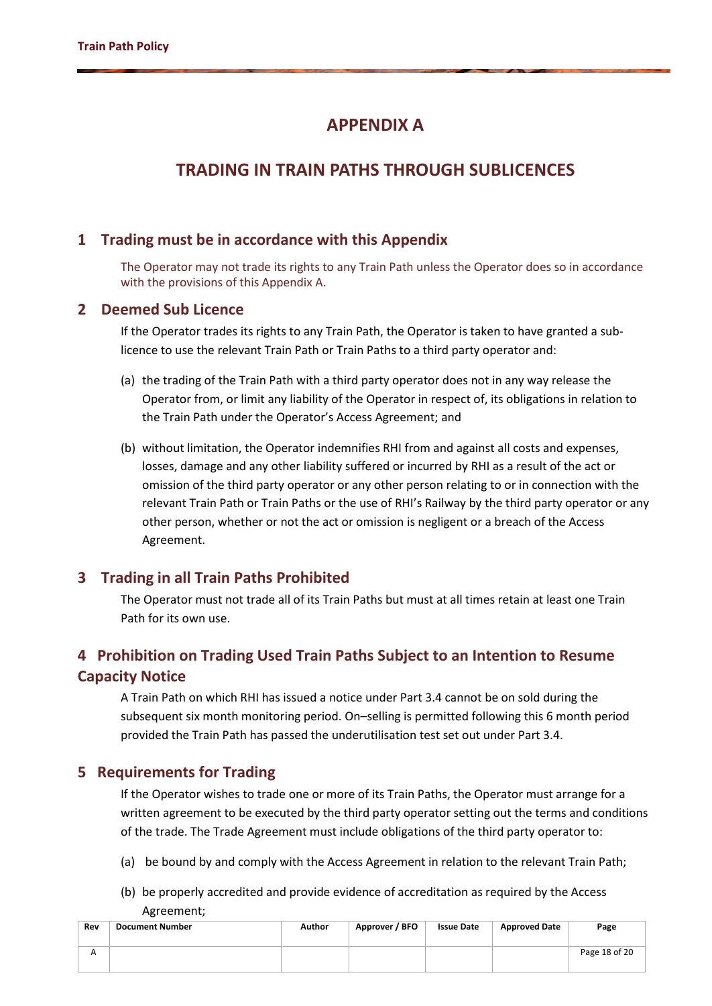# **APPENDIX A**

# **TRADING IN TRAIN PATHS THROUGH SUBLICENCES**

### **1 Trading must be in accordance with this Appendix**

The Operator may not trade its rights to any Train Path unless the Operator does so in accordance with the provisions of this Appendix A.

#### **2 Deemed Sub Licence**

If the Operator trades its rights to any Train Path, the Operator is taken to have granted a sublicence to use the relevant Train Path or Train Paths to a third party operator and:

- (a) the trading of the Train Path with a third party operator does not in any way release the Operator from, or limit any liability of the Operator in respect of, its obligations in relation to the Train Path under the Operator's Access Agreement; and
- (b) without limitation, the Operator indemnifies RHI from and against all costs and expenses, losses, damage and any other liability suffered or incurred by RHI as a result of the act or omission of the third party operator or any other person relating to or in connection with the relevant Train Path or Train Paths or the use of RHI's Railway by the third party operator or any other person, whether or not the act or omission is negligent or a breach of the Access Agreement.

### **3 Trading in all Train Paths Prohibited**

The Operator must not trade all of its Train Paths but must at all times retain at least one Train Path for its own use.

### **4 Prohibition on Trading Used Train Paths Subject to an Intention to Resume Capacity Notice**

A Train Path on which RHI has issued a notice under Part 3.4 cannot be on sold during the subsequent six month monitoring period. On–selling is permitted following this 6 month period provided the Train Path has passed the underutilisation test set out under Part 3.4.

#### **5 Requirements for Trading**

If the Operator wishes to trade one or more of its Train Paths, the Operator must arrange for a written agreement to be executed by the third party operator setting out the terms and conditions of the trade. The Trade Agreement must include obligations of the third party operator to:

- (a) be bound by and comply with the Access Agreement in relation to the relevant Train Path;
- (b) be properly accredited and provide evidence of accreditation as required by the Access Agreement;

| Rev | <b>Document Number</b> | Author | Approver / BFO | <b>Issue Date</b> | <b>Approved Date</b> | Page          |
|-----|------------------------|--------|----------------|-------------------|----------------------|---------------|
|     |                        |        |                |                   |                      | Page 18 of 20 |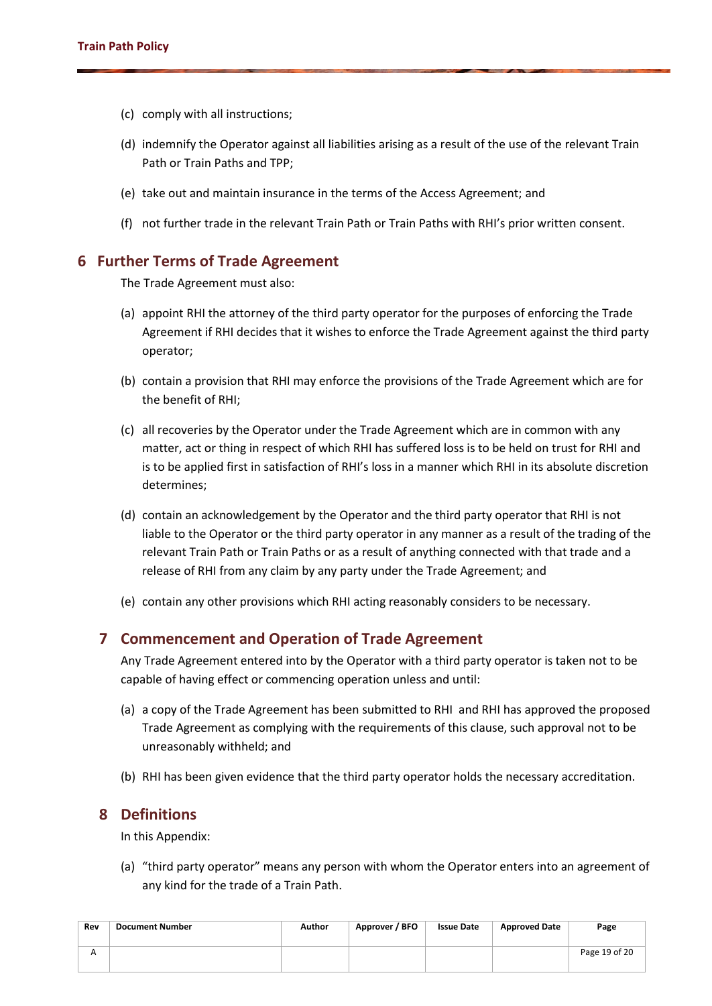- (c) comply with all instructions;
- (d) indemnify the Operator against all liabilities arising as a result of the use of the relevant Train Path or Train Paths and TPP;
- (e) take out and maintain insurance in the terms of the Access Agreement; and
- (f) not further trade in the relevant Train Path or Train Paths with RHI's prior written consent.

### **6 Further Terms of Trade Agreement**

The Trade Agreement must also:

- (a) appoint RHI the attorney of the third party operator for the purposes of enforcing the Trade Agreement if RHI decides that it wishes to enforce the Trade Agreement against the third party operator;
- (b) contain a provision that RHI may enforce the provisions of the Trade Agreement which are for the benefit of RHI;
- (c) all recoveries by the Operator under the Trade Agreement which are in common with any matter, act or thing in respect of which RHI has suffered loss is to be held on trust for RHI and is to be applied first in satisfaction of RHI's loss in a manner which RHI in its absolute discretion determines;
- (d) contain an acknowledgement by the Operator and the third party operator that RHI is not liable to the Operator or the third party operator in any manner as a result of the trading of the relevant Train Path or Train Paths or as a result of anything connected with that trade and a release of RHI from any claim by any party under the Trade Agreement; and
- (e) contain any other provisions which RHI acting reasonably considers to be necessary.

### **7 Commencement and Operation of Trade Agreement**

Any Trade Agreement entered into by the Operator with a third party operator is taken not to be capable of having effect or commencing operation unless and until:

- (a) a copy of the Trade Agreement has been submitted to RHI and RHI has approved the proposed Trade Agreement as complying with the requirements of this clause, such approval not to be unreasonably withheld; and
- (b) RHI has been given evidence that the third party operator holds the necessary accreditation.

#### **8 Definitions**

In this Appendix:

(a) "third party operator" means any person with whom the Operator enters into an agreement of any kind for the trade of a Train Path.

| Rev | Document Number | Author | Approver / BFO | <b>Issue Date</b> | <b>Approved Date</b> | Page          |
|-----|-----------------|--------|----------------|-------------------|----------------------|---------------|
|     |                 |        |                |                   |                      | Page 19 of 20 |